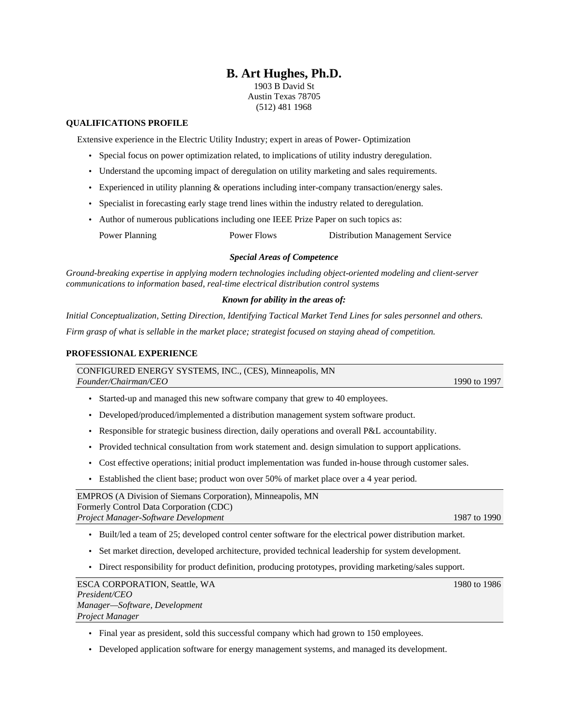# **B. Art Hughes, Ph.D.**

1903 B David St Austin Texas 78705 (512) 481 1968

## **QUALIFICATIONS PROFILE**

Extensive experience in the Electric Utility Industry; expert in areas of Power- Optimization

- Special focus on power optimization related, to implications of utility industry deregulation.
- Understand the upcoming impact of deregulation on utility marketing and sales requirements.
- Experienced in utility planning & operations including inter-company transaction/energy sales.
- Specialist in forecasting early stage trend lines within the industry related to deregulation.
- Author of numerous publications including one IEEE Prize Paper on such topics as:

Power Planning **Power Flows** Distribution Management Service

## *Special Areas of Competence*

*Ground-breaking expertise in applying modern technologies including object-oriented modeling and client-server communications to information based, real-time electrical distribution control systems*

#### *Known for ability in the areas of:*

*Initial Conceptualization, Setting Direction, Identifying Tactical Market Tend Lines for sales personnel and others. Firm grasp of what is sellable in the market place; strategist focused on staying ahead of competition.*

### **PROFESSIONAL EXPERIENCE**

CONFIGURED ENERGY SYSTEMS, INC., (CES), Minneapolis, MN *Founder/Chairman/CEO* 1990 to 1997

- Started-up and managed this new software company that grew to 40 employees.
- Developed/produced/implemented a distribution management system software product.
- Responsible for strategic business direction, daily operations and overall P&L accountability.
- Provided technical consultation from work statement and. design simulation to support applications.
- Cost effective operations; initial product implementation was funded in-house through customer sales.
- Established the client base; product won over 50% of market place over a 4 year period.

EMPROS (A Division of Siemans Corporation), Minneapolis, MN Formerly Control Data Corporation (CDC) *Project Manager-Software Development* 1987 to 1990

- Built/led a team of 25; developed control center software for the electrical power distribution market.
- Set market direction, developed architecture, provided technical leadership for system development.
- Direct responsibility for product definition, producing prototypes, providing marketing/sales support.

ESCA CORPORATION, Seattle, WA 1980 to 1986 *President/CEO Manager—Software, Development Project Manager*

- Final year as president, sold this successful company which had grown to 150 employees.
- Developed application software for energy management systems, and managed its development.